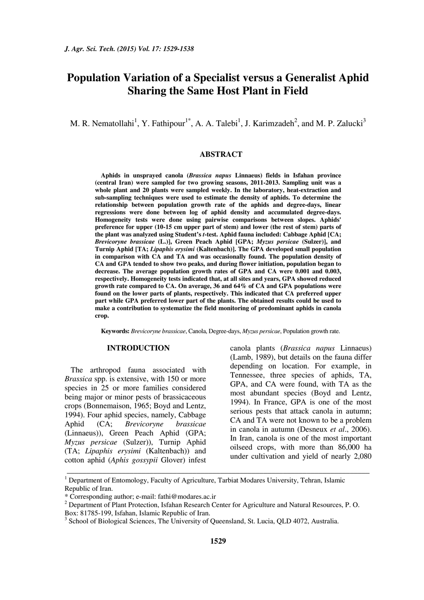# **Population Variation of a Specialist versus a Generalist Aphid Sharing the Same Host Plant in Field**

M. R. Nematollahi<sup>1</sup>, Y. Fathipour<sup>1\*</sup>, A. A. Talebi<sup>1</sup>, J. Karimzadeh<sup>2</sup>, and M. P. Zalucki<sup>3</sup>

#### **ABSTRACT**

**Aphids in unsprayed canola (***Brassica napus* **Linnaeus) fields in Isfahan province (central Iran) were sampled for two growing seasons, 2011-2013. Sampling unit was a whole plant and 20 plants were sampled weekly. In the laboratory, heat-extraction and sub-sampling techniques were used to estimate the density of aphids. To determine the relationship between population growth rate of the aphids and degree-days, linear regressions were done between log of aphid density and accumulated degree-days. Homogeneity tests were done using pairwise comparisons between slopes. Aphids' preference for upper (10-15 cm upper part of stem) and lower (the rest of stem) parts of the plant was analyzed using Student's** *t***-test. Aphid fauna included: Cabbage Aphid [CA;**  *Brevicoryne brassicae* **(L.)], Green Peach Aphid [GPA;** *Myzus persicae* **(Sulzer)], and Turnip Aphid [TA;** *Lipaphis erysimi* **(Kaltenbach)]. The GPA developed small population in comparison with CA and TA and was occasionally found. The population density of CA and GPA tended to show two peaks, and during flower initiation, population began to decrease. The average population growth rates of GPA and CA were 0.001 and 0.003, respectively. Homogeneity tests indicated that, at all sites and years, GPA showed reduced growth rate compared to CA. On average, 36 and 64% of CA and GPA populations were found on the lower parts of plants, respectively. This indicated that CA preferred upper part while GPA preferred lower part of the plants. The obtained results could be used to make a contribution to systematize the field monitoring of predominant aphids in canola crop.** 

**Keywords:** *Brevicoryne brassicae*, Canola, Degree-days, *Myzus persicae*, Population growth rate.

#### **INTRODUCTION**

The arthropod fauna associated with *Brassica* spp. is extensive, with 150 or more species in 25 or more families considered being major or minor pests of brassicaceous crops (Bonnemaison, 1965; Boyd and Lentz, 1994). Four aphid species, namely, Cabbage Aphid (CA; *Brevicoryne brassicae* (Linnaeus)), Green Peach Aphid (GPA; *Myzus persicae* (Sulzer)), Turnip Aphid (TA; *Lipaphis erysimi* (Kaltenbach)) and cotton aphid (*Aphis gossypii* Glover) infest canola plants (*Brassica napus* Linnaeus) (Lamb, 1989), but details on the fauna differ depending on location. For example, in Tennessee, three species of aphids, TA, GPA, and CA were found, with TA as the most abundant species (Boyd and Lentz, 1994). In France, GPA is one of the most serious pests that attack canola in autumn; CA and TA were not known to be a problem in canola in autumn (Desneux *et al*., 2006). In Iran, canola is one of the most important oilseed crops, with more than 86,000 ha under cultivation and yield of nearly 2,080

\_\_\_\_\_\_\_\_\_\_\_\_\_\_\_\_\_\_\_\_\_\_\_\_\_\_\_\_\_\_\_\_\_\_\_\_\_\_\_\_\_\_\_\_\_\_\_\_\_\_\_\_\_\_\_\_\_\_\_\_\_\_\_\_\_\_\_\_\_\_\_\_\_\_\_\_\_

<sup>&</sup>lt;sup>1</sup> Department of Entomology, Faculty of Agriculture, Tarbiat Modares University, Tehran, Islamic Republic of Iran.

<sup>\*</sup> Corresponding author; e-mail: fathi@modares.ac.ir

<sup>&</sup>lt;sup>2</sup> Department of Plant Protection, Isfahan Research Center for Agriculture and Natural Resources, P.O. Box: 81785-199, Isfahan, Islamic Republic of Iran.

<sup>&</sup>lt;sup>3</sup> School of Biological Sciences, The University of Queensland, St. Lucia, QLD 4072, Australia.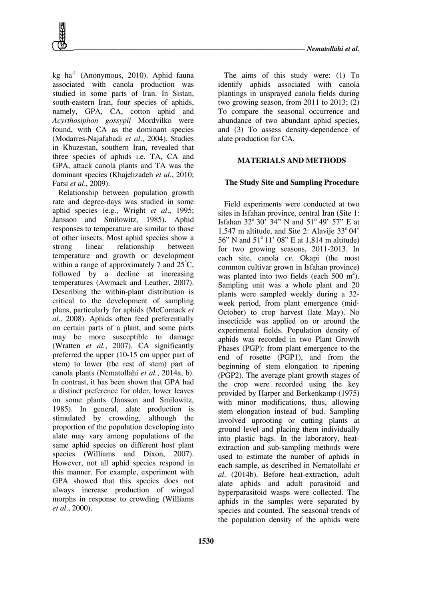kg ha $^{-1}$  (Anonymous, 2010). Aphid fauna associated with canola production was studied in some parts of Iran. In Sistan, south-eastern Iran, four species of aphids, namely, GPA, CA, cotton aphid and *Acyrthosiphon gossypii* Mordvilko were found, with CA as the dominant species (Modarres-Najafabadi *et al*., 2004). Studies in Khuzestan, southern Iran, revealed that three species of aphids i.e. TA, CA and GPA, attack canola plants and TA was the dominant species (Khajehzadeh *et al*., 2010; Farsi *et al*., 2009).

Relationship between population growth rate and degree-days was studied in some aphid species (e.g., Wright *et al*., 1995; Jansson and Smilowitz, 1985). Aphid responses to temperature are similar to those of other insects. Most aphid species show a strong linear relationship between temperature and growth or development within a range of approximately 7 and  $25^{\circ}$ C, followed by a decline at increasing temperatures (Awmack and Leather, 2007). Describing the within-plant distribution is critical to the development of sampling plans, particularly for aphids (McCornack *et al.,* 2008). Aphids often feed preferentially on certain parts of a plant, and some parts may be more susceptible to damage (Wratten *et al.*, 2007). CA significantly preferred the upper (10-15 cm upper part of stem) to lower (the rest of stem) part of canola plants (Nematollahi *et al.*, 2014a, b). In contrast, it has been shown that GPA had a distinct preference for older, lower leaves on some plants (Jansson and Smilowitz, 1985). In general, alate production is stimulated by crowding, although the proportion of the population developing into alate may vary among populations of the same aphid species on different host plant species (Williams and Dixon, 2007). However, not all aphid species respond in this manner. For example, experiment with GPA showed that this species does not always increase production of winged morphs in response to crowding (Williams *et al*., 2000).

The aims of this study were: (1) To identify aphids associated with canola plantings in unsprayed canola fields during two growing season, from 2011 to 2013; (2) To compare the seasonal occurrence and abundance of two abundant aphid species, and (3) To assess density-dependence of alate production for CA.

## **MATERIALS AND METHODS**

#### **The Study Site and Sampling Procedure**

Field experiments were conducted at two sites in Isfahan province, central Iran (Site 1: Isfahan  $32^{\circ}$   $30'$   $34''$  N and  $51^{\circ}$   $49'$   $57''$  E at 1,547 m altitude, and Site 2: Alavije  $33^{\circ}04'$ 56" N and  $51^{\circ}$  11' 08" E at 1,814 m altitude) for two growing seasons, 2011-2013. In each site, canola *cv.* Okapi (the most common cultivar grown in Isfahan province) was planted into two fields (each  $500 \text{ m}^2$ ). Sampling unit was a whole plant and 20 plants were sampled weekly during a 32 week period, from plant emergence (mid-October) to crop harvest (late May). No insecticide was applied on or around the experimental fields. Population density of aphids was recorded in two Plant Growth Phases (PGP): from plant emergence to the end of rosette (PGP1), and from the beginning of stem elongation to ripening (PGP2). The average plant growth stages of the crop were recorded using the key provided by Harper and Berkenkamp (1975) with minor modifications, thus, allowing stem elongation instead of bud. Sampling involved uprooting or cutting plants at ground level and placing them individually into plastic bags. In the laboratory, heatextraction and sub-sampling methods were used to estimate the number of aphids in each sample, as described in Nematollahi *et al*. (2014b). Before heat-extraction, adult alate aphids and adult parasitoid and hyperparasitoid wasps were collected. The aphids in the samples were separated by species and counted. The seasonal trends of the population density of the aphids were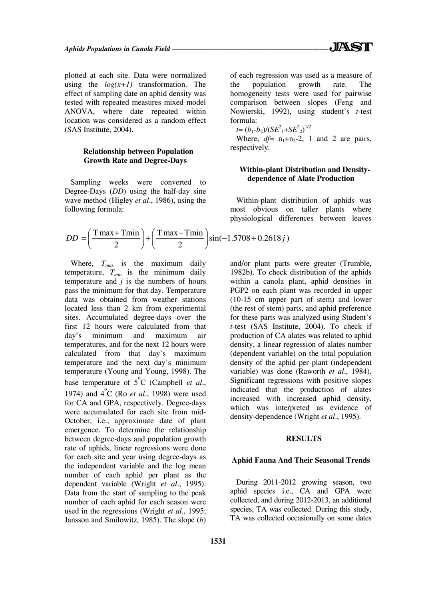plotted at each site. Data were normalized using the  $log(x+1)$  transformation. The effect of sampling date on aphid density was tested with repeated measures mixed model ANOVA, where date repeated within location was considered as a random effect (SAS Institute, 2004).

## **Relationship between Population Growth Rate and Degree-Days**

Sampling weeks were converted to Degree-Days (*DD*) using the half-day sine wave method (Higley *et al*., 1986), using the following formula:

$$
DD = \left(\frac{T\max + T\min}{2}\right) + \left(\frac{T\max - T\min}{2}\right)\sin(-1.5708 + 0.2618j)
$$

Where, *Tmax* is the maximum daily temperature, *Tmin* is the minimum daily temperature and *j* is the numbers of hours pass the minimum for that day. Temperature data was obtained from weather stations located less than 2 km from experimental sites. Accumulated degree-days over the first 12 hours were calculated from that day's minimum and maximum air temperatures, and for the next 12 hours were calculated from that day's maximum temperature and the next day's minimum temperature (Young and Young, 1998). The base temperature of  $5^{\circ}$ C (Campbell *et al.*, 1974) and 4<sup>°</sup>C (Ro *et al.*, 1998) were used for CA and GPA, respectively. Degree-days were accumulated for each site from mid-October, i.e., approximate date of plant emergence. To determine the relationship between degree-days and population growth rate of aphids, linear regressions were done for each site and year using degree-days as the independent variable and the log mean number of each aphid per plant as the dependent variable (Wright *et al*., 1995). Data from the start of sampling to the peak number of each aphid for each season were used in the regressions (Wright *et al*., 1995; Jansson and Smilowitz, 1985). The slope (*b*)

of each regression was used as a measure of the population growth rate. The homogeneity tests were used for pairwise comparison between slopes (Feng and Nowierski, 1992), using student's *t*-test formula:

 $t=(b_1-b_2)/(SE^2 + SE^2)^{1/2}$ 

Where,  $df = n_1+n_2-2$ , 1 and 2 are pairs, respectively.

## **Within-plant Distribution and Densitydependence of Alate Production**

Within-plant distribution of aphids was most obvious on taller plants where physiological differences between leaves

and/or plant parts were greater (Trumble, 1982b). To check distribution of the aphids within a canola plant, aphid densities in PGP2 on each plant was recorded in upper (10-15 cm upper part of stem) and lower (the rest of stem) parts, and aphid preference for these parts was analyzed using Student's *t*-test (SAS Institute, 2004). To check if production of CA alates was related to aphid density, a linear regression of alates number (dependent variable) on the total population density of the aphid per plant (independent variable) was done (Raworth *et al*., 1984). Significant regressions with positive slopes indicated that the production of alates increased with increased aphid density, which was interpreted as evidence of density-dependence (Wright *et al*., 1995).

#### **RESULTS**

#### **Aphid Fauna And Their Seasonal Trends**

During 2011-2012 growing season, two aphid species i.e., CA and GPA were collected, and during 2012-2013, an additional species, TA was collected. During this study, TA was collected occasionally on some dates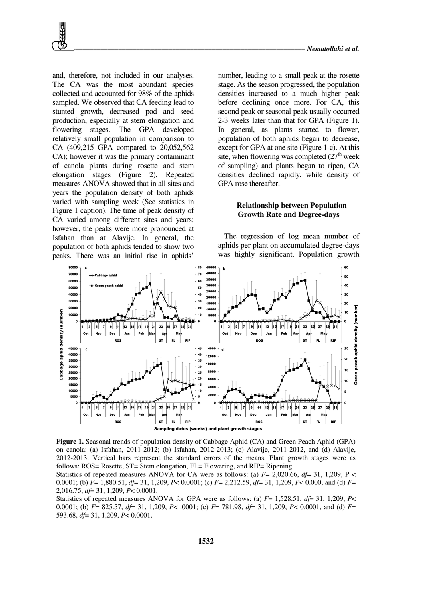and, therefore, not included in our analyses. The CA was the most abundant species collected and accounted for 98% of the aphids sampled. We observed that CA feeding lead to stunted growth, decreased pod and seed production, especially at stem elongation and flowering stages. The GPA developed relatively small population in comparison to CA (409,215 GPA compared to 20,052,562 CA); however it was the primary contaminant of canola plants during rosette and stem elongation stages (Figure 2). Repeated measures ANOVA showed that in all sites and years the population density of both aphids varied with sampling week (See statistics in Figure 1 caption). The time of peak density of CA varied among different sites and years; however, the peaks were more pronounced at Isfahan than at Alavije. In general, the population of both aphids tended to show two peaks. There was an initial rise in aphids'

number, leading to a small peak at the rosette stage. As the season progressed, the population densities increased to a much higher peak before declining once more. For CA, this second peak or seasonal peak usually occurred 2-3 weeks later than that for GPA (Figure 1). In general, as plants started to flower, population of both aphids began to decrease, except for GPA at one site (Figure 1-c). At this site, when flowering was completed  $(27<sup>th</sup>$  week of sampling) and plants began to ripen, CA densities declined rapidly, while density of GPA rose thereafter.

#### **Relationship between Population Growth Rate and Degree-days**

The regression of log mean number of aphids per plant on accumulated degree-days was highly significant. Population growth



**Figure 1.** Seasonal trends of population density of Cabbage Aphid (CA) and Green Peach Aphid (GPA) on canola: (a) Isfahan, 2011-2012; (b) Isfahan, 2012-2013; (c) Alavije, 2011-2012, and (d) Alavije, 2012-2013. Vertical bars represent the standard errors of the means. Plant growth stages were as follows: ROS= Rosette, ST= Stem elongation, FL= Flowering, and RIP= Ripening.

Statistics of repeated measures ANOVA for CA were as follows: (a)  $F= 2,020.66$ ,  $df= 31, 1,209$ , P < 0.0001; (b) *F*= 1,880.51, *df*= 31, 1,209, *P*< 0.0001; (c) *F*= 2,212.59, *df*= 31, 1,209, *P*< 0.000, and (d) *F*= 2,016.75, *df*= 31, 1,209, *P*< 0.0001.

Statistics of repeated measures ANOVA for GPA were as follows: (a) *F*= 1,528.51, *df*= 31, 1,209, *P*< 0.0001; (b) *F*= 825.57, *df*= 31, 1,209, *P*< .0001; (c) *F*= 781.98, *df*= 31, 1,209, *P*< 0.0001, and (d) *F*= 593.68, *df*= 31, 1,209, *P*< 0.0001.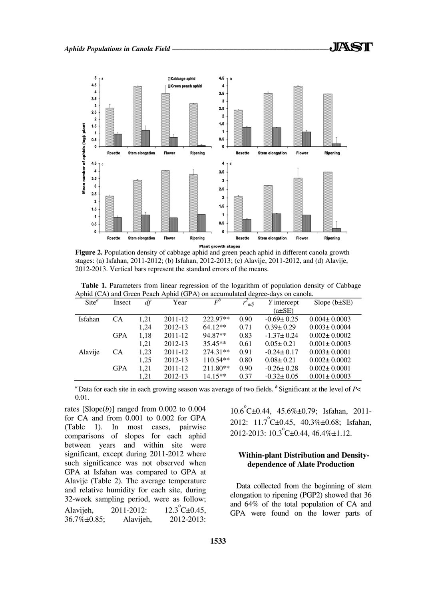

**Figure 2.** Population density of cabbage aphid and green peach aphid in different canola growth stages: (a) Isfahan, 2011-2012; (b) Isfahan, 2012-2013; (c) Alavije, 2011-2012, and (d) Alavije, 2012-2013. Vertical bars represent the standard errors of the means.

**Table 1.** Parameters from linear regression of the logarithm of population density of Cabbage Aphid (CA) and Green Peach Aphid (GPA) on accumulated degree-days on canola.

| $\text{Site}^a$ | Insect     | df   | Year    | $\overline{F}^b$ | adj  | Y intercept      | Slope $(b \pm SE)$ |
|-----------------|------------|------|---------|------------------|------|------------------|--------------------|
|                 |            |      |         |                  |      | $(a \pm SE)$     |                    |
| Isfahan         | <b>CA</b>  | 1,21 | 2011-12 | 222.97**         | 0.90 | $-0.69 \pm 0.25$ | $0.004 \pm 0.0003$ |
|                 |            | 1,24 | 2012-13 | $64.12**$        | 0.71 | $0.39 \pm 0.29$  | $0.003 \pm 0.0004$ |
|                 | <b>GPA</b> | 1,18 | 2011-12 | 94.87**          | 0.83 | $-1.37 \pm 0.24$ | $0.002 \pm 0.0002$ |
|                 |            | 1,21 | 2012-13 | $35.45**$        | 0.61 | $0.05 \pm 0.21$  | $0.001 \pm 0.0003$ |
| Alavije         | <b>CA</b>  | 1,23 | 2011-12 | $274.31**$       | 0.91 | $-0.24 \pm 0.17$ | $0.003 \pm 0.0001$ |
|                 |            | 1,25 | 2012-13 | $110.54**$       | 0.80 | $0.08 \pm 0.21$  | $0.002 \pm 0.0002$ |
|                 | <b>GPA</b> | 1,21 | 2011-12 | 211.80**         | 0.90 | $-0.26 \pm 0.28$ | $0.002 \pm 0.0001$ |
|                 |            | 1,21 | 2012-13 | $14.15**$        | 0.37 | $-0.32 \pm 0.05$ | $0.001 \pm 0.0003$ |

*<sup>a</sup>* Data for each site in each growing season was average of two fields. *<sup>b</sup>* Significant at the level of *P*< 0.01.

rates  $[Slope(b)]$  ranged from 0.002 to 0.004 for CA and from 0.001 to 0.002 for GPA (Table 1). In most cases, pairwise comparisons of slopes for each aphid between years and within site were significant, except during 2011-2012 where such significance was not observed when GPA at Isfahan was compared to GPA at Alavije (Table 2). The average temperature and relative humidity for each site, during 32-week sampling period, were as follow; Alavijeh, 2011-2012: 12.3 C±0.45,<br>36.7%±0.85: Alavijeh, 2012-2013:  $^{\circ}$ C $\pm$ 0.45, 36.7%±0.85; Alavijeh,

10.6 o C±0.44, 45.6%±0.79; Isfahan, 2011- 2012:  $11.7^{\circ}$ C $\pm$ 0.45, 40.3% $\pm$ 0.68; Isfahan, 2012-2013: 10.3<sup>°</sup>C±0.44, 46.4%±1.12.

## **Within-plant Distribution and Densitydependence of Alate Production**

Data collected from the beginning of stem elongation to ripening (PGP2) showed that 36 and 64% of the total population of CA and GPA were found on the lower parts of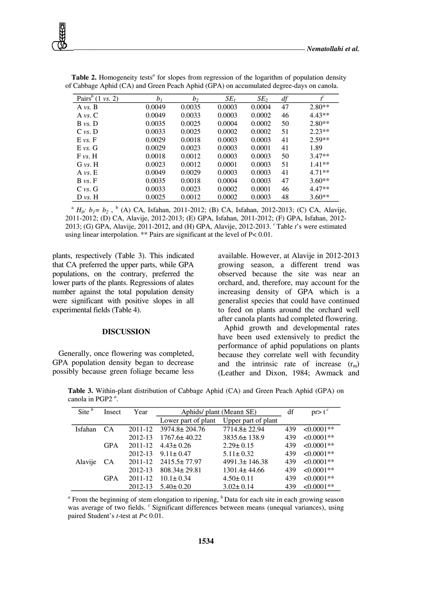| Pairs <sup>b</sup> $(1 \text{ vs. } 2)$ | b <sub>I</sub> | b <sub>2</sub> | $SE_I$ | SE <sub>2</sub> | df | $t^{c}$  |
|-----------------------------------------|----------------|----------------|--------|-----------------|----|----------|
| A $vs. B$                               | 0.0049         | 0.0035         | 0.0003 | 0.0004          | 47 | $2.80**$ |
| A $vs. C$                               | 0.0049         | 0.0033         | 0.0003 | 0.0002          | 46 | $4.43**$ |
| $B \nu s$ . D                           | 0.0035         | 0.0025         | 0.0004 | 0.0002          | 50 | $2.80**$ |
| C vs. D                                 | 0.0033         | 0.0025         | 0.0002 | 0.0002          | 51 | $2.23**$ |
| $E$ vs. $F$                             | 0.0029         | 0.0018         | 0.0003 | 0.0003          | 41 | $2.59**$ |
| E vs. G                                 | 0.0029         | 0.0023         | 0.0003 | 0.0001          | 41 | 1.89     |
| F vs. H                                 | 0.0018         | 0.0012         | 0.0003 | 0.0003          | 50 | $3.47**$ |
| G vs. H                                 | 0.0023         | 0.0012         | 0.0001 | 0.0003          | 51 | $1.41**$ |
| A vs. E                                 | 0.0049         | 0.0029         | 0.0003 | 0.0003          | 41 | $4.71**$ |
| $B \nu s$ . F                           | 0.0035         | 0.0018         | 0.0004 | 0.0003          | 47 | $3.60**$ |
| $C$ vs. $G$                             | 0.0033         | 0.0023         | 0.0002 | 0.0001          | 46 | $4.47**$ |
| $D \nu s$ . H                           | 0.0025         | 0.0012         | 0.0002 | 0.0003          | 48 | $3.60**$ |

Table 2. Homogeneity tests<sup>a</sup> for slopes from regression of the logarithm of population density of Cabbage Aphid (CA) and Green Peach Aphid (GPA) on accumulated degree-days on canola.

<sup>a</sup> *H*<sub>0</sub><sup>*:*</sup> *b*<sub>1</sub> = *b*<sub>2</sub>, <sup>b</sup> (A) CA, Isfahan, 2011-2012; (B) CA, Isfahan, 2012-2013; (C) CA, Alavije, 2011-2012; (D) CA, Alavije, 2012-2013; (E) GPA, Isfahan, 2011-2012; (F) GPA, Isfahan, 2012- 2013; (G) GPA, Alavije, 2011-2012, and (H) GPA, Alavije, 2012-2013. *<sup>c</sup>*Table *t*'s were estimated using linear interpolation. \*\* Pairs are significant at the level of P< 0.01.

plants, respectively (Table 3). This indicated that CA preferred the upper parts, while GPA populations, on the contrary, preferred the lower parts of the plants. Regressions of alates number against the total population density were significant with positive slopes in all experimental fields (Table 4).

#### **DISCUSSION**

Generally, once flowering was completed, GPA population density began to decrease possibly because green foliage became less available. However, at Alavije in 2012-2013 growing season, a different trend was observed because the site was near an orchard, and, therefore, may account for the increasing density of GPA which is a generalist species that could have continued to feed on plants around the orchard well after canola plants had completed flowering.

Aphid growth and developmental rates have been used extensively to predict the performance of aphid populations on plants because they correlate well with fecundity and the intrinsic rate of increase  $(r<sub>m</sub>)$ (Leather and Dixon, 1984; Awmack and

**Table 3.** Within-plant distribution of Cabbage Aphid (CA) and Green Peach Aphid (GPA) on canola in PGP2 *<sup>a</sup>* .

| Site $\frac{b}{b}$ | Insect     | Year    | Aphids/ plant (Mean $\pm$ SE) |                     |     | $pr > t^c$   |
|--------------------|------------|---------|-------------------------------|---------------------|-----|--------------|
|                    |            |         | Lower part of plant           | Upper part of plant |     |              |
| Isfahan            | <b>CA</b>  | 2011-12 | $3974.8 \pm 204.76$           | 7714.8±22.94        | 439 | $<0.0001**$  |
|                    |            | 2012-13 | $1767.6 \pm 40.22$            | 3835.6±138.9        | 439 | $< 0.0001**$ |
|                    | <b>GPA</b> | 2011-12 | $4.43 \pm 0.26$               | $2.29 \pm 0.15$     | 439 | $<0.0001**$  |
|                    |            | 2012-13 | $9.11 \pm 0.47$               | $5.11 \pm 0.32$     | 439 | $< 0.0001**$ |
| Alavije            | <b>CA</b>  | 2011-12 | $2415.5 \pm 77.97$            | $4991.3 \pm 146.38$ | 439 | $< 0.0001**$ |
|                    |            | 2012-13 | $808.34 \pm 29.81$            | $1301.4 \pm 44.66$  | 439 | $<0.0001**$  |
|                    | <b>GPA</b> | 2011-12 | $10.1 \pm 0.34$               | $4.50 \pm 0.11$     | 439 | $<0.0001**$  |
|                    |            | 2012-13 | $5.40 \pm 0.20$               | $3.02 \pm 0.14$     | 439 | $< 0.0001**$ |

<sup>&</sup>lt;sup>*a*</sup> From the beginning of stem elongation to ripening, <sup>*b*</sup> Data for each site in each growing season was average of two fields. <sup>*c*</sup> Significant differences between means (unequal variances), using paired Student's *t*-test at *P*< 0.01.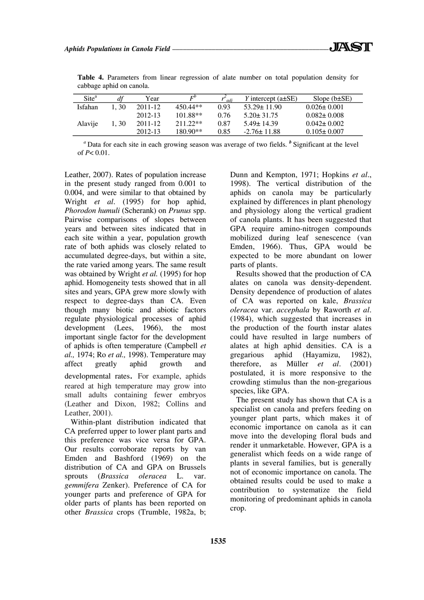| $\text{Site}^{\text{a}}$ | df   | Year    | $F^{\prime}$ | adi  | Y intercept $(a\pm SE)$ | Slope $(b \pm SE)$ |
|--------------------------|------|---------|--------------|------|-------------------------|--------------------|
| <b>Isfahan</b>           | 1.30 | 2011-12 | $450.44**$   | 0.93 | $53.29 \pm 11.90$       | $0.026 \pm 0.001$  |
|                          |      | 2012-13 | $101.88**$   | 0.76 | $5.20 + 31.75$          | $0.082 \pm 0.008$  |
| Alavije                  | 1.30 | 2011-12 | $211.22**$   | 0.87 | $5.49 + 14.39$          | $0.042 \pm 0.002$  |
|                          |      | 2012-13 | 180.90**     | 0.85 | $-2.76 \pm 11.88$       | $0.105 \pm 0.007$  |

**Table 4.** Parameters from linear regression of alate number on total population density for cabbage aphid on canola.

<sup>*a*</sup> Data for each site in each growing season was average of two fields. <sup>*b*</sup> Significant at the level of *P*< 0.01.

Leather, 2007). Rates of population increase in the present study ranged from 0.001 to 0.004, and were similar to that obtained by Wright *et al*. (1995) for hop aphid, *Phorodon humuli* (Scherank) on *Prunus* spp. Pairwise comparisons of slopes between years and between sites indicated that in each site within a year, population growth rate of both aphids was closely related to accumulated degree-days, but within a site, the rate varied among years. The same result was obtained by Wright *et al.* (1995) for hop aphid. Homogeneity tests showed that in all sites and years, GPA grew more slowly with respect to degree-days than CA. Even though many biotic and abiotic factors regulate physiological processes of aphid development (Lees, 1966), the most important single factor for the development of aphids is often temperature (Campbell *et al.,* 1974; Ro *et al.,* 1998). Temperature may affect greatly aphid growth and developmental rates. For example, aphids reared at high temperature may grow into small adults containing fewer embryos

(Leather and Dixon, 1982; Collins and Leather, 2001).

Within-plant distribution indicated that CA preferred upper to lower plant parts and this preference was vice versa for GPA. Our results corroborate reports by van Emden and Bashford (1969) on the distribution of CA and GPA on Brussels sprouts (*Brassica oleracea* L. var. *gemmifera* Zenker). Preference of CA for younger parts and preference of GPA for older parts of plants has been reported on other *Brassica* crops (Trumble, 1982a, b; Dunn and Kempton, 1971; Hopkins *et al*., 1998). The vertical distribution of the aphids on canola may be particularly explained by differences in plant phenology and physiology along the vertical gradient of canola plants. It has been suggested that GPA require amino-nitrogen compounds mobilized during leaf senescence (van Emden, 1966). Thus, GPA would be expected to be more abundant on lower parts of plants.

Results showed that the production of CA alates on canola was density-dependent. Density dependence of production of alates of CA was reported on kale, *Brassica oleracea* var. *accephala* by Raworth *et al*. (1984), which suggested that increases in the production of the fourth instar alates could have resulted in large numbers of alates at high aphid densities. CA is a gregarious aphid (Hayamizu, 1982), therefore, as Müller *et al*. (2001) postulated, it is more responsive to the crowding stimulus than the non-gregarious species, like GPA.

The present study has shown that CA is a specialist on canola and prefers feeding on younger plant parts, which makes it of economic importance on canola as it can move into the developing floral buds and render it unmarketable. However, GPA is a generalist which feeds on a wide range of plants in several families, but is generally not of economic importance on canola. The obtained results could be used to make a contribution to systematize the field monitoring of predominant aphids in canola crop.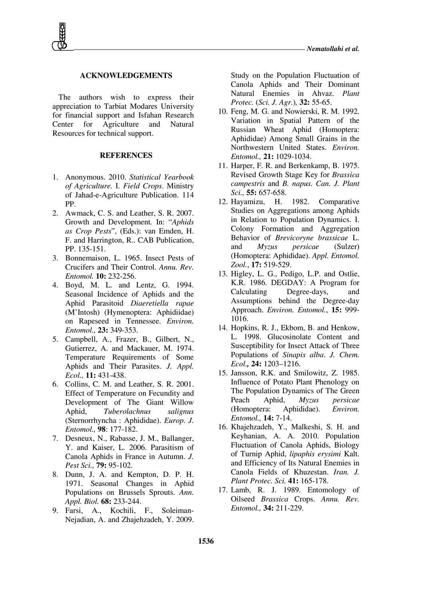## **ACKNOWLEDGEMENTS**

The authors wish to express their appreciation to Tarbiat Modares University for financial support and Isfahan Research Center for Agriculture and Natural Resources for technical support.

#### **REFERENCES**

- 1. Anonymous. 2010. *Statistical Yearbook of Agriculture.* I. *Field Crops*. Ministry of Jahad-e-Agriculture Publication. 114 PP.
- 2. Awmack, C. S. and Leather, S. R. 2007. Growth and Development*.* In: "*Aphids as Crop Pests*", (Eds.): van Emden, H. F. and Harrington, R.. CAB Publication, PP. 135-151.
- 3. Bonnemaison, L. 1965. Insect Pests of Crucifers and Their Control. *Annu. Rev. Entomol.* **10:** 232-256.
- 4. Boyd, M. L. and Lentz, G. 1994. Seasonal Incidence of Aphids and the Aphid Parasitoid *Diaeretiella rapae* (M'Intosh) (Hymenoptera: Aphidiidae) on Rapeseed in Tennessee. *Environ. Entomol.,* **23:** 349-353.
- 5. Campbell, A., Frazer, B., Gilbert, N., Gutierrez, A. and Mackauer, M. 1974. Temperature Requirements of Some Aphids and Their Parasites. *J. Appl. Ecol.,* **11:** 431-438.
- 6. Collins, C. M. and Leather, S. R. 2001. Effect of Temperature on Fecundity and Development of The Giant Willow Aphid, *Tuberolachnus salignus*  (Sternorrhyncha : Aphididae). *Europ. J. Entomol.,* **98**: 177-182.
- 7. Desneux, N., Rabasse, J. M., Ballanger, Y. and Kaiser, L. 2006. Parasitism of Canola Aphids in France in Autumn. *J. Pest Sci.,* **79:** 95-102.
- 8. Dunn, J. A. and Kempton, D. P. H. 1971. Seasonal Changes in Aphid Populations on Brussels Sprouts. *Ann. Appl. Biol.* **68:** 233-244.
- 9. Farsi, A., Kochili, F., Soleiman-Nejadian, A. and Zhajehzadeh, Y. 2009.

Study on the Population Fluctuation of Canola Aphids and Their Dominant Natural Enemies in Ahvaz. *Plant Protec.* (*Sci. J. Agr.*)*,* **32:** 55-65.

- 10. Feng, M. G. and Nowierski, R. M. 1992. Variation in Spatial Pattern of the Russian Wheat Aphid (Homoptera: Aphididae) Among Small Grains in the Northwestern United States. *Environ. Entomol.,* **21:** 1029-1034.
- 11. Harper, F. R. and Berkenkamp, B. 1975. Revised Growth Stage Key for *Brassica campestris* and *B. napus. Can. J. Plant Sci.,* **55:** 657-658.
- 12. Hayamizu, H. 1982. Comparative Studies on Aggregations among Aphids in Relation to Population Dynamics. I. Colony Formation and Aggregation Behavior of *Brevicoryne brassicae* L. and *Myzus persicae* (Sulzer) (Homoptera: Aphididae). *Appl. Entomol. Zool.*, **17:** 519-529.
- 13. Higley, L. G., Pedigo, L.P. and Ostlie, K.R. 1986. DEGDAY: A Program for Calculating Degree-days, and Assumptions behind the Degree-day Approach. *Environ. Entomol.*, **15:** 999- 1016.
- 14. Hopkins, R. J., Ekbom, B. and Henkow, L. 1998. Glucosinolate Content and Susceptibility for Insect Attack of Three Populations of *Sinapis alba*. *J. Chem. Ecol.,* **24:** 1203–1216.
- 15. Jansson, R.K. and Smilowitz, Z. 1985. Influence of Potato Plant Phenology on The Population Dynamics of The Green Peach Aphid, *Myzus persicae* (Homoptera: Aphididae). *Environ. Entomol.,* **14:** 7-14.
- 16. Khajehzadeh, Y., Malkeshi, S. H. and Keyhanian, A. A. 2010. Population Fluctuation of Canola Aphids, Biology of Turnip Aphid, *lipaphis erysimi* Kalt. and Efficiency of Its Natural Enemies in Canola Fields of Khuzestan. *Iran. J. Plant Protec. Sci.* **41:** 165-178.
- 17. Lamb, R. J. 1989. Entomology of Oilseed *Brassica* Crops. *Annu. Rev. Entomol.,* **34:** 211-229.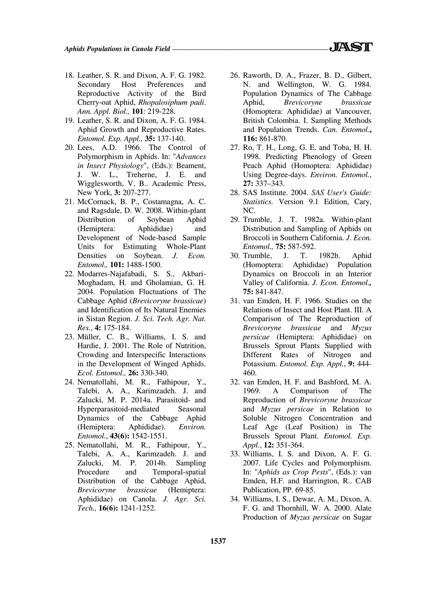- 18. Leather, S. R. and Dixon, A. F. G. 1982. Secondary Host Preferences and Reproductive Activity of the Bird Cherry-oat Aphid, *Rhopalosiphum padi*. *Ann. Appl. Biol.,* **101**: 219-228.
- 19. Leather, S. R. and Dixon, A. F. G. 1984. Aphid Growth and Reproductive Rates. *Entomol. Exp. Appl.,* **35:** 137-140.
- 20. Lees, A.D. 1966. The Control of Polymorphism in Aphids. In: "*Advances in Insect Physiology*", (Eds.): Beament, J. W. L., Treherne, J. E. and Wigglesworth, V. B.. Academic Press, New York, **3:** 207-277.
- 21. McCornack, B. P., Costamagna, A. C. and Ragsdale, D. W. 2008. Within-plant Distribution of Soybean Aphid (Hemiptera: Aphididae) and Development of Node-based Sample Units for Estimating Whole-Plant Densities on Soybean. *J. Econ. Entomol.,* **101:** 1488-1500.
- 22. Modarres-Najafabadi, S. S., Akbari-Moghadam, H. and Gholamian, G. H. 2004. Population Fluctuations of The Cabbage Aphid (*Brevicoryne brassicae*) and Identification of Its Natural Enemies in Sistan Region. *J. Sci. Tech. Agr. Nat. Res.*, **4:** 175-184.
- 23. Müller, C. B., Williams, I. S. and Hardie, J. 2001. The Role of Nutrition, Crowding and Interspecific Interactions in the Development of Winged Aphids. *Ecol. Entomol.,* **26:** 330-340.
- 24. Nematollahi, M. R., Fathipour, Y., Talebi, A. A., Karimzadeh. J. and Zalucki, M. P. 2014a. Parasitoid- and Hyperparasitoid-mediated Seasonal Dynamics of the Cabbage Aphid (Hemiptera: Aphididae). *Environ. Entomol.*, **43(6):** 1542-1551.
- 25. Nematollahi, M. R., Fathipour, Y., Talebi, A. A., Karimzadeh. J. and Zalucki, M. P. 2014b. Sampling Procedure and Temporal-spatial Distribution of the Cabbage Aphid, *Brevicoryne brassicae* (Hemiptera: Aphididae) on Canola. *J. Agr. Sci. Tech.,* **16(6):** 1241-1252.
- 26. Raworth, D. A., Frazer, B. D., Gilbert, N. and Wellington, W. G. 1984. Population Dynamics of The Cabbage Aphid, *Brevicoryne brassicae*  (Homoptera: Aphididae) at Vancouver, British Colombia. I. Sampling Methods and Population Trends. *Can. Entomol.***, 116:** 861-870.
- 27. Ro, T. H., Long, G. E. and Toba, H. H. 1998. Predicting Phenology of Green Peach Aphid (Homoptera: Aphididae) Using Degree-days. *Environ. Entomol.*, **27:** 337–343.
- 28. SAS Institute. 2004. *SAS User's Guide: Statistics.* Version 9.1 Edition, Cary, NC.
- 29. Trumble, J. T. 1982a. Within-plant Distribution and Sampling of Aphids on Broccoli in Southern California. *J. Econ. Entomol.,* **75:** 587-592.
- 30. Trumble, J. T. 1982b. Aphid (Homoptera: Aphididae) Population Dynamics on Broccoli in an Interior Valley of California. *J. Econ. Entomol.,*  **75:** 841-847.
- 31. van Emden, H. F. 1966. Studies on the Relations of Insect and Host Plant. III. A Comparison of The Reproduction of *Brevicoryne brassicae* and *Myzus persicae* (Hemiptera: Aphididae) on Brussels Sprout Plants Supplied with Different Rates of Nitrogen and Potassium. *Entomol. Exp. Appl.*, **9:** 444- 460.
- 32. van Emden, H. F. and Bashford, M. A. 1969. A Comparison of The Reproduction of *Brevicoryne brassicae* and *Myzus persicae* in Relation to Soluble Nitrogen Concentration and Leaf Age (Leaf Position) in The Brussels Sprout Plant. *Entomol. Exp. Appl.*, **12:** 351-364.
- 33. Williams, I. S. and Dixon, A. F. G. 2007. Life Cycles and Polymorphism. In: "*Aphids as Crop Pests*", (Eds.): van Emden, H.F. and Harrington, R.. CAB Publication, PP. 69-85.
- 34. Williams, I. S., Dewar, A. M., Dixon, A. F. G. and Thornhill, W. A. 2000. Alate Production of *Myzus persicae* on Sugar